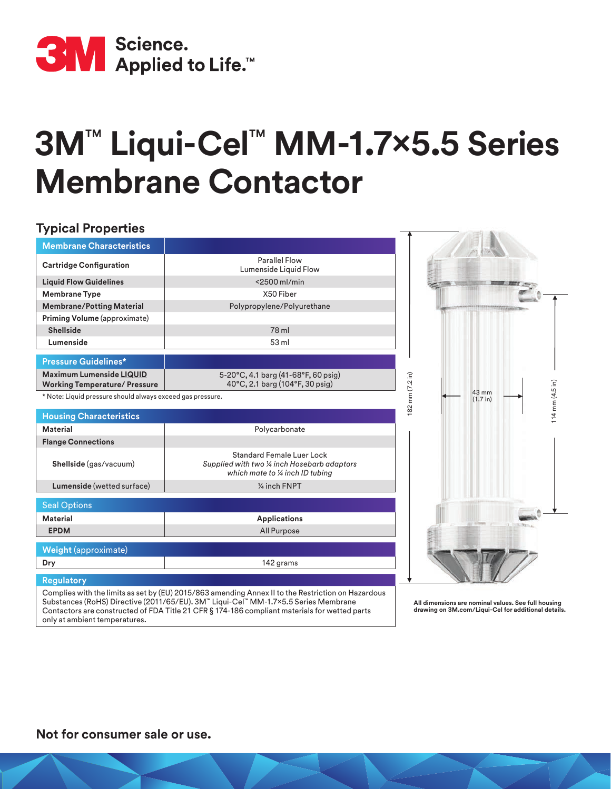

## **3M**™ **Liqui-Cel**™ **MM-1.7x5.5 Series Membrane Contactor**

## **Typical Properties Membrane Characteristics**

| <b>Cartridge Configuration</b>                                          | <b>Parallel Flow</b><br>Lumenside Liquid Flow                                                                        |                                                                           |
|-------------------------------------------------------------------------|----------------------------------------------------------------------------------------------------------------------|---------------------------------------------------------------------------|
| <b>Liquid Flow Guidelines</b>                                           | <2500 ml/min                                                                                                         |                                                                           |
| <b>Membrane Type</b>                                                    | X50 Fiber                                                                                                            |                                                                           |
| <b>Membrane/Potting Material</b>                                        | Polypropylene/Polyurethane                                                                                           |                                                                           |
| Priming Volume (approximate)                                            |                                                                                                                      |                                                                           |
| <b>Shellside</b>                                                        | 78 ml                                                                                                                |                                                                           |
| Lumenside                                                               | 53 ml                                                                                                                |                                                                           |
| <b>Pressure Guidelines*</b>                                             |                                                                                                                      |                                                                           |
| <b>Maximum Lumenside LIQUID</b><br><b>Working Temperature/ Pressure</b> | 5-20°C, 4.1 barg (41-68°F, 60 psig)<br>40°C, 2.1 barg (104°F, 30 psig)                                               |                                                                           |
| * Note: Liquid pressure should always exceed gas pressure.              |                                                                                                                      | 182 mm (7.2 in)<br>$114 \text{ mm} (4.5 \text{ in})$<br>43 mm<br>(1.7 in) |
| <b>Housing Characteristics</b>                                          |                                                                                                                      |                                                                           |
| <b>Material</b>                                                         | Polycarbonate                                                                                                        |                                                                           |
|                                                                         |                                                                                                                      |                                                                           |
| <b>Flange Connections</b>                                               |                                                                                                                      |                                                                           |
| Shellside (gas/vacuum)                                                  | <b>Standard Female Luer Lock</b><br>Supplied with two 1/4 inch Hosebarb adaptors<br>which mate to 1/4 inch ID tubing |                                                                           |
| Lumenside (wetted surface)                                              | 1/4 inch FNPT                                                                                                        |                                                                           |
| <b>Seal Options</b>                                                     |                                                                                                                      |                                                                           |
| <b>Material</b>                                                         | <b>Applications</b>                                                                                                  |                                                                           |
| <b>EPDM</b>                                                             | All Purpose                                                                                                          |                                                                           |
| <b>Weight (approximate)</b>                                             |                                                                                                                      |                                                                           |
| Dry                                                                     | 142 grams                                                                                                            |                                                                           |
| <b>Regulatory</b>                                                       |                                                                                                                      |                                                                           |

Complies with the limits as set by (EU) 2015/863 amending Annex II to the Restriction on Hazardous Substances (RoHS) Directive (2011/65/EU). 3M™ Liqui-Cel™ MM-1.7x5.5 Series Membrane Contactors are constructed of FDA Title 21 CFR § 174-186 compliant materials for wetted parts only at ambient temperatures.

**All dimensions are nominal values. See full housing drawing on 3M.com/Liqui-Cel for additional details.**

## **Not for consumer sale or use.**